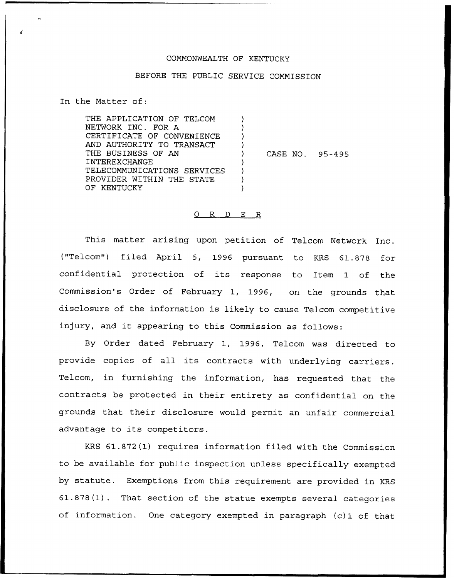### COMNONWEALTH OF KENTUCKY

# BEFORE THE PUBLIC SERVICE COMNISSION

In the Natter of:

THE APPLICATION OF TELCON NETWORK INC. FOR A CERTIFICATE OF CONVENIENCE AND AUTHORITY TO TRANSACT THE BUSINESS OF AN INTEREXCHANGE TELECOMMUNICATIONS SERVICES PROVIDER WITHIN THE STATE OF KENTUCKY CASE NO. 95-495

#### 0 R <sup>D</sup> E R

This matter arising upon petition of Telcom Network Inc. ("Telcom") filed April 5, 1996 pursuant to KRS 61.878 for confidential protection of its response to Item 1 of the Commission's Order of February 1, 1996, on the grounds that disclosure of the information is likely to cause Telcom competitive injury, and it appearing to this Commission as follows:

By Order dated February 1, 1996, Telcom was directed to provide copies of all its contracts with underlying carriers. Telcom, in furnishing the information, has requested that the contracts be protected in their entirety as confidential on the grounds that their disclosure would permit an unfair commercial advantage to its competitors.

KRS 61.872(1) requires information filed with the Commission to be available for public inspection unless specifically exempted by statute. Exemptions from this requirement are provided in KRS 61.878(1). That section of the statue exempts several categories of information. One category exempted in paragraph (c)1 of that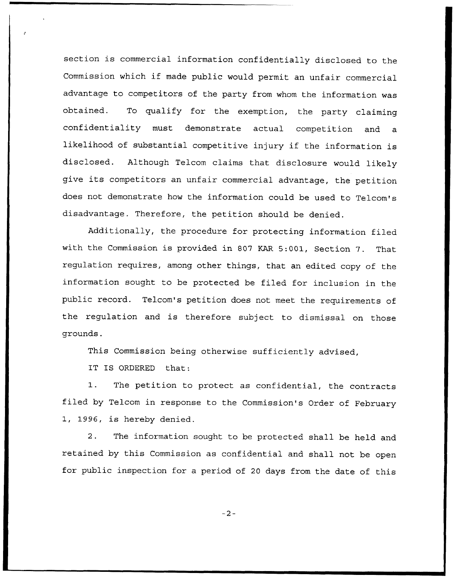section is commercial information confidentially disclosed to the Commission which if made public would permit an unfair commercial advantage to competitors of the party from whom the information was obtained. To qualify for the exemption, the party claiming confidentiality must demonstrate actual competition and a likelihood of substantial competitive injury if the information is disclosed. Although Telcom claims that disclosure would likely give its competitors an unfair commercial advantage, the petition does not demonstrate how the information could be used to Telcom's disadvantage. Therefore, the petition should be denied.

Additionally, the procedure for protecting information filed with the Commission is provided in <sup>807</sup> KAR 5:001, Section 7. That regulation requires, among other things, that an edited copy of the information sought to be protected be filed for inclusion in the public record. Telcom's petition does not meet the requirements of the regulation and is therefore subject to dismissal on those grounds.

This Commission being otherwise sufficiently advised,

IT IS ORDERED that:

1. The petition to protect as confidential, the contracts filed by Telcom in response to the Commission's Order of February 1, 1996, is hereby denied.

2. The information sought to be protected shall be held and retained by this Commission as confidential and shall not be open for public inspection for a period of <sup>20</sup> days from the date of this

 $-2-$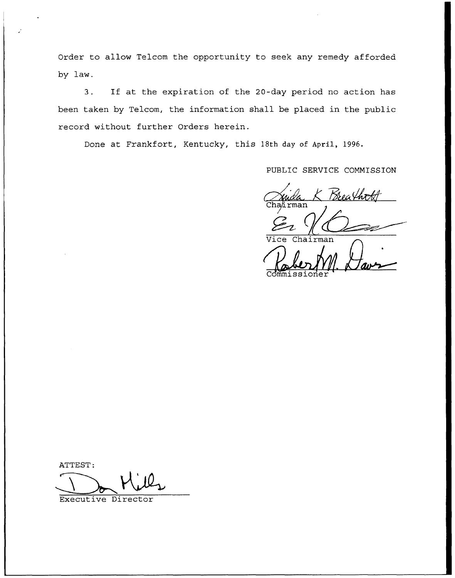Order to allow Telcom the opportunity to seek any remedy afforded by law.

3. If at the expiration of the 20-day period no action has been taken by Telcom, the information shall be placed in the public record without further Orders herein.

Done at Frankfort, Kentucky, this 18th day of April, 1996.

PUBLIC SERVICE COMMISSION

Cha⁄irman

Chairman Commissione

ATTEST:

Executive Director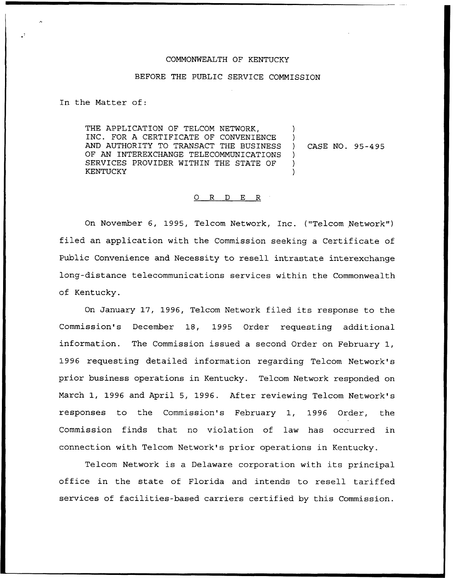#### COMMONWEALTH OF KENTUCKY

## BEFORE THE PUBLIC SERVICE COMMISSION

In the Matter of:

THE APPLICATION OF TELCOM NETWORK, INC. FOR A CERTIFICATE OF CONVENIENCE AND AUTHORITY TO TRANSACT THE BUSINESS OF AN INTEREXCHANGE TELECOMMUNICATIONS SERVICES PROVIDER WITHIN THE STATE OF KENTUCKY ) ) ) CASE NO. 95-495  $\lambda$ ) )

#### 0 R <sup>D</sup> E R

On November 6, 1995, Telcom Network, Inc. ("Telcom Network" ) filed an application with the Commission seeking a Certificate of Public Convenience and Necessity to resell intrastate interexchange long-distance telecommunications services within the Commonwealth of Kentucky.

On January 17, 1996, Telcom Network filed its response to the Commission's December 18, 1995 Order requesting additional information. The Commission issued a second Order on February 1, 1996 requesting detailed information regarding Telcom Network's prior business operations in Kentucky. Telcom Network responded on March 1, 1996 and April 5, 1996. After reviewing Telcom Network's responses to the Commission's February 1, 1996 Order, the Commission finds that no violation of law has occurred in connection with Telcom Network's prior operations in Kentucky.

Telcom Network is <sup>a</sup> Delaware corporation with its principal office in the state of Florida and intends to resell tariffed services of facilities-based carriers certified by this Commission.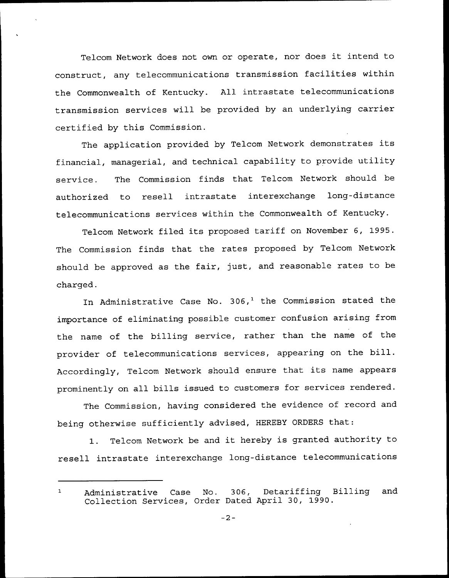Telcom Network does not own or operate, nor does it intend to construct, any telecommunications transmission facilities within the Commonwealth of Kentucky. All intrastate telecommunications transmission services will be provided by an underlying carrier certified by this Commission.

The application provided by Telcom Network demonstrates its financial, managerial, and technical capability to provide utility service. The Commission finds that Telcom Network should be authorized to resell intrastate interexchange long-distance telecommunications services within the Commonwealth of Kentucky.

Telcom Network filed its proposed tariff on November 6, 1995. The Commission finds that the rates proposed by Telcom Network should be approved as the fair, just, and reasonable rates to be charged.

In Administrative Case No.  $306<sub>1</sub><sup>1</sup>$  the Commission stated the importance of eliminating possible customer confusion arising from the name of the billing service, rather than the name of the provider of telecommunications services, appearing on the bill. Accordingly, Telcom Network should ensure that its name appears prominently on all bills issued to customers for services rendered.

The Commission, having considered the evidence of record and being otherwise sufficiently advised, HEREBY ORDERS that:

1. Telcom Network be and it hereby is granted authority to resell intrastate interexchange long-distance telecommunications

Administrative Case No. 306, Detariffing Billing and  $\mathbf{1}$ Collection Services, Order Dated April 30, 1990.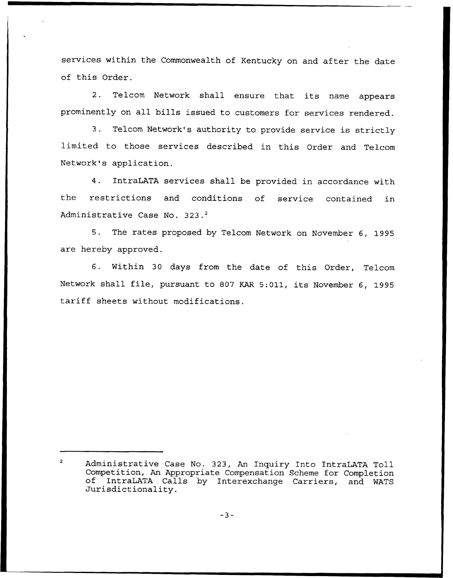services within the Commonwealth of Kentucky on and after the date of this Order.

2. Telcom Network shall ensure that its name appears prominently on all bills issued to customers for services rendered.

3. Telcom Network's authority to provide service is strictly limited to those services described in this Order and Telcom Network's application.

4. IntraLATA services shall be provided in accordance with the restrictions and conditions of service contained in Administrative Case No. 323.<sup>2</sup>

 $5.$ The rates proposed by Telcom Network on November 6, 1995 are hereby approved.

6. Within 30 days from the date of this Order, Telcom Network shall file, pursuant to <sup>807</sup> KAR 5:011, its November 6, 1995 tariff sheets without modifications.

Administrative Case No. 323, An Inquiry Into IntraLATA Toll Competition, An Appropriate Compensation Scheme for Completion of IntraLATA Calls by Interexchange Carriers, and WATS Jurisdictionality.